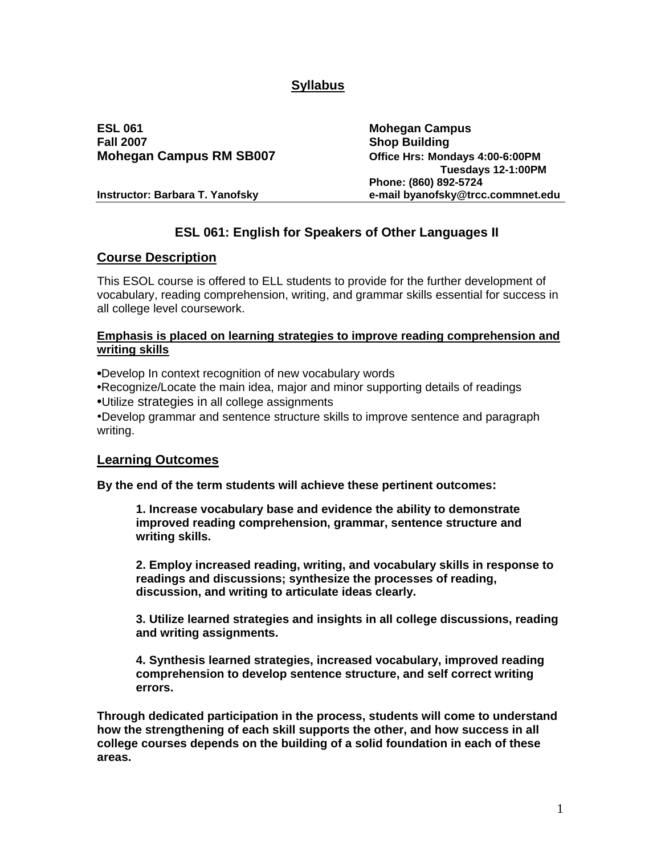# **Syllabus**

**ESL 061 Mohegan Campus Fall 2007 Shop Building Mohegan Campus RM SB007 Office Hrs: Mondays 4:00-6:00PM**

 **Tuesdays 12-1:00PM Phone: (860) 892-5724 Instructor: Barbara T. Yanofsky e-mail byanofsky@trcc.commnet.edu**

## **ESL 061: English for Speakers of Other Languages II**

#### **Course Description**

This ESOL course is offered to ELL students to provide for the further development of vocabulary, reading comprehension, writing, and grammar skills essential for success in all college level coursework.

#### **Emphasis is placed on learning strategies to improve reading comprehension and writing skills**

**•**Develop In context recognition of new vocabulary words

**•**Recognize/Locate the main idea, major and minor supporting details of readings **•**Utilize strategies in all college assignments

•Develop grammar and sentence structure skills to improve sentence and paragraph writing.

#### **Learning Outcomes**

**By the end of the term students will achieve these pertinent outcomes:** 

**1. Increase vocabulary base and evidence the ability to demonstrate improved reading comprehension, grammar, sentence structure and writing skills.**

**2. Employ increased reading, writing, and vocabulary skills in response to readings and discussions; synthesize the processes of reading, discussion, and writing to articulate ideas clearly.**

**3. Utilize learned strategies and insights in all college discussions, reading and writing assignments.** 

**4. Synthesis learned strategies, increased vocabulary, improved reading comprehension to develop sentence structure, and self correct writing errors.**

**Through dedicated participation in the process, students will come to understand how the strengthening of each skill supports the other, and how success in all college courses depends on the building of a solid foundation in each of these areas.**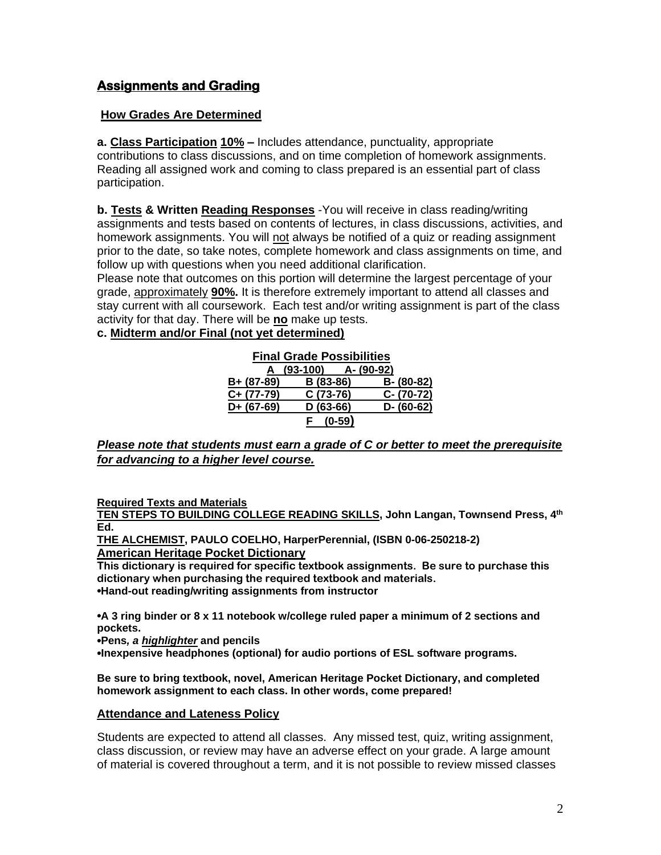# **Assignments and Grading**

### **How Grades Are Determined**

**a. Class Participation 10% –** Includes attendance, punctuality, appropriate contributions to class discussions, and on time completion of homework assignments. Reading all assigned work and coming to class prepared is an essential part of class participation.

**b. Tests & Written Reading Responses** -You will receive in class reading/writing assignments and tests based on contents of lectures, in class discussions, activities, and homework assignments. You will not always be notified of a quiz or reading assignment prior to the date, so take notes, complete homework and class assignments on time, and follow up with questions when you need additional clarification.

Please note that outcomes on this portion will determine the largest percentage of your grade, approximately **90%.** It is therefore extremely important to attend all classes and stay current with all coursework. Each test and/or writing assignment is part of the class activity for that day. There will be **no** make up tests.

**c. Midterm and/or Final (not yet determined)**

| <b>Final Grade Possibilities</b> |            |            |            |               |
|----------------------------------|------------|------------|------------|---------------|
|                                  | A (93-100) |            | A- (90-92) |               |
| B+ (87-89)                       |            | B (83-86)  |            | B- (80-82)    |
| $C+ (77-79)$                     |            | $C(73-76)$ |            | C- (70-72)    |
| $D+ (67-69)$                     |            | $D(63-66)$ |            | $D - (60-62)$ |
|                                  |            | $(0-59)$   |            |               |

#### *Please note that students must earn a grade of C or better to meet the prerequisite for advancing to a higher level course.*

**Required Texts and Materials**

**TEN STEPS TO BUILDING COLLEGE READING SKILLS, John Langan, Townsend Press, 4 th Ed.**

**THE ALCHEMIST, PAULO COELHO, HarperPerennial, (ISBN 0-06-250218-2) American Heritage Pocket Dictionary**

**This dictionary is required for specific textbook assignments. Be sure to purchase this dictionary when purchasing the required textbook and materials. •Hand-out reading/writing assignments from instructor**

**•A 3 ring binder or 8 x 11 notebook w/college ruled paper a minimum of 2 sections and pockets.**

**•Pens***, a highlighter* **and pencils** 

**•Inexpensive headphones (optional) for audio portions of ESL software programs.**

**Be sure to bring textbook, novel, American Heritage Pocket Dictionary, and completed homework assignment to each class. In other words, come prepared!**

#### **Attendance and Lateness Policy**

Students are expected to attend all classes. Any missed test, quiz, writing assignment, class discussion, or review may have an adverse effect on your grade. A large amount of material is covered throughout a term, and it is not possible to review missed classes